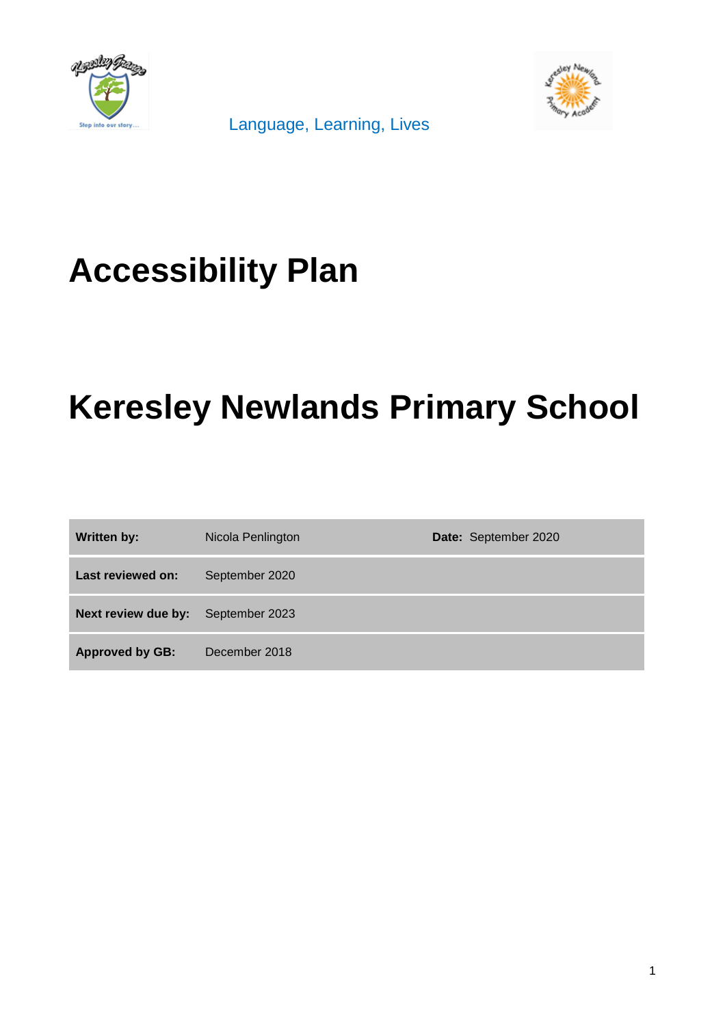

Language, Learning, Lives



# **Accessibility Plan**

# **Keresley Newlands Primary School**

| <b>Written by:</b>     | Nicola Penlington | Date: September 2020 |
|------------------------|-------------------|----------------------|
| Last reviewed on:      | September 2020    |                      |
| Next review due by:    | September 2023    |                      |
| <b>Approved by GB:</b> | December 2018     |                      |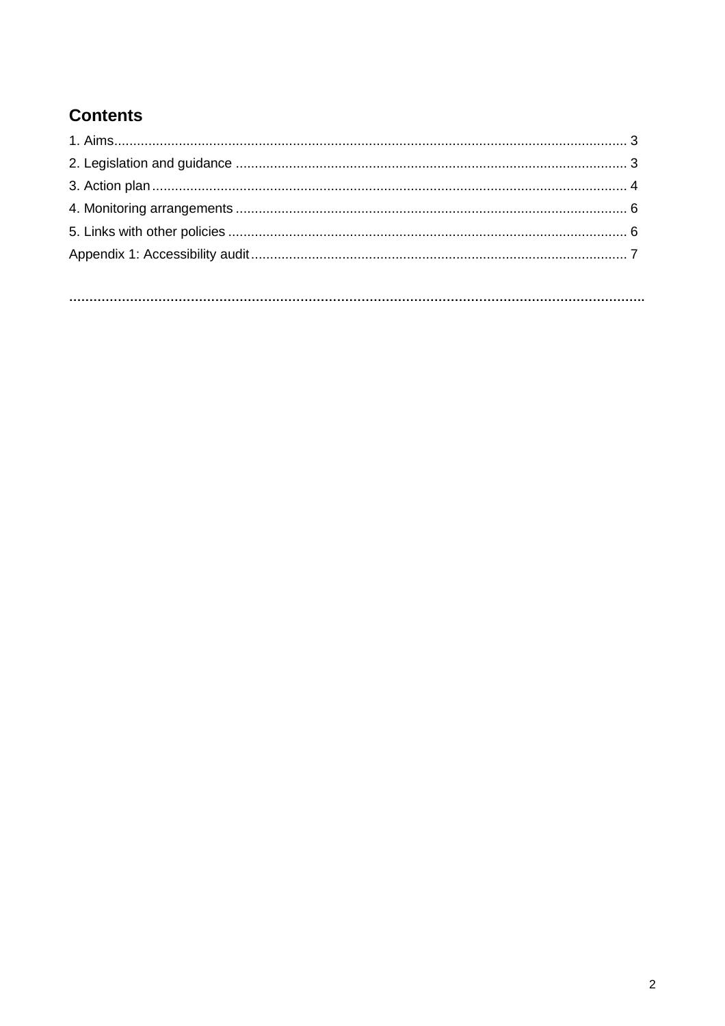### **Contents**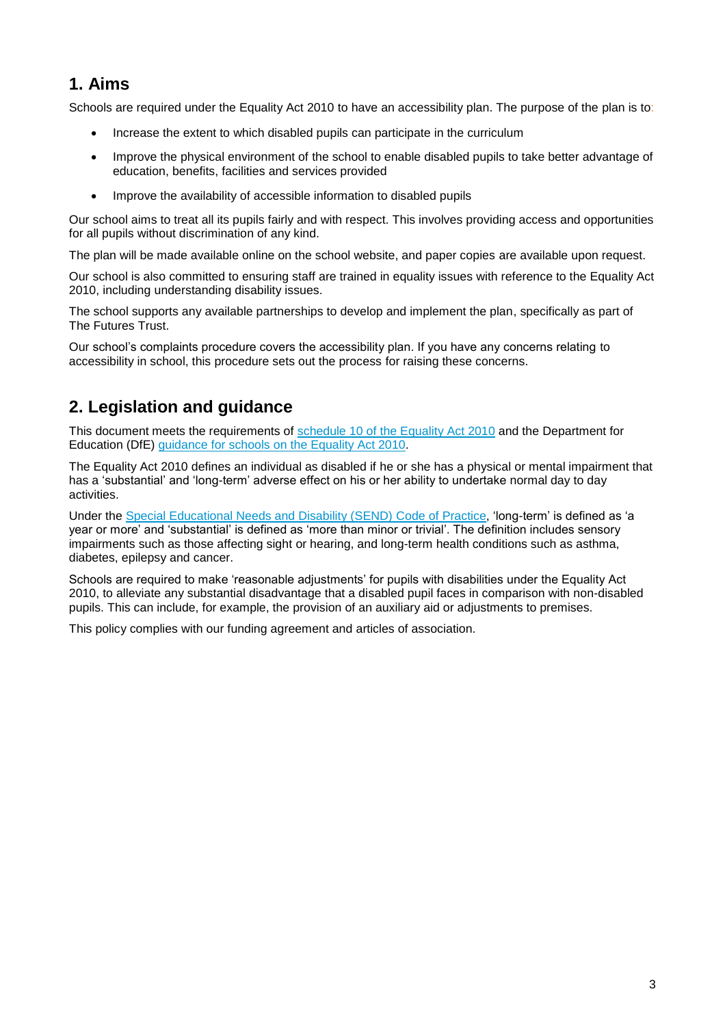#### **1. Aims**

Schools are required under the Equality Act 2010 to have an accessibility plan. The purpose of the plan is to:

- Increase the extent to which disabled pupils can participate in the curriculum
- Improve the physical environment of the school to enable disabled pupils to take better advantage of education, benefits, facilities and services provided
- Improve the availability of accessible information to disabled pupils

Our school aims to treat all its pupils fairly and with respect. This involves providing access and opportunities for all pupils without discrimination of any kind.

The plan will be made available online on the school website, and paper copies are available upon request.

Our school is also committed to ensuring staff are trained in equality issues with reference to the Equality Act 2010, including understanding disability issues.

The school supports any available partnerships to develop and implement the plan, specifically as part of The Futures Trust.

Our school's complaints procedure covers the accessibility plan. If you have any concerns relating to accessibility in school, this procedure sets out the process for raising these concerns.

#### **2. Legislation and guidance**

This document meets the requirements of [schedule 10 of the Equality Act 2010](http://www.legislation.gov.uk/ukpga/2010/15/schedule/10) and the Department for Education (DfE) [guidance for schools on the Equality Act 2010.](https://www.gov.uk/government/publications/equality-act-2010-advice-for-schools)

The Equality Act 2010 defines an individual as disabled if he or she has a physical or mental impairment that has a 'substantial' and 'long-term' adverse effect on his or her ability to undertake normal day to day activities.

Under the [Special Educational Needs and Disability \(SEND\) Code of Practice,](https://www.gov.uk/government/publications/send-code-of-practice-0-to-25) 'long-term' is defined as 'a year or more' and 'substantial' is defined as 'more than minor or trivial'. The definition includes sensory impairments such as those affecting sight or hearing, and long-term health conditions such as asthma, diabetes, epilepsy and cancer.

Schools are required to make 'reasonable adjustments' for pupils with disabilities under the Equality Act 2010, to alleviate any substantial disadvantage that a disabled pupil faces in comparison with non-disabled pupils. This can include, for example, the provision of an auxiliary aid or adjustments to premises.

This policy complies with our funding agreement and articles of association.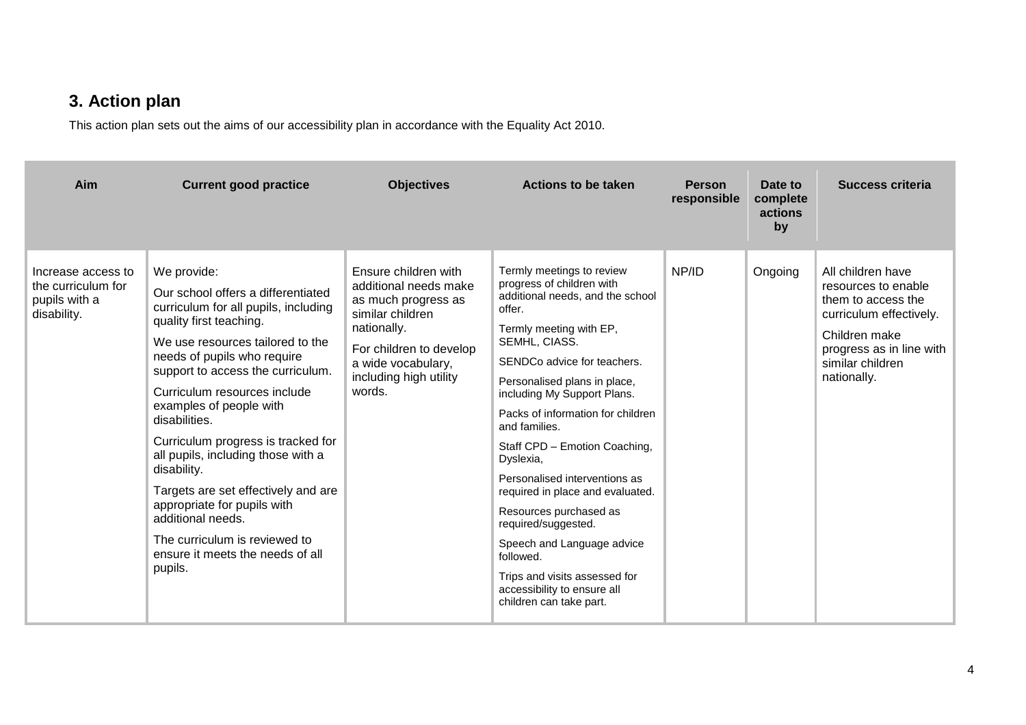### **3. Action plan**

This action plan sets out the aims of our accessibility plan in accordance with the Equality Act 2010.

| Aim                                                                      | <b>Current good practice</b>                                                                                                                                                                                                                                                                                                                                                                                                                                                                                                                                                   | <b>Objectives</b>                                                                                                                                                                            | Actions to be taken                                                                                                                                                                                                                                                                                                                                                                                                                                                                                                                                                                                            | <b>Person</b><br>responsible | Date to<br>complete<br>actions<br>by | Success criteria                                                                                                                                                          |
|--------------------------------------------------------------------------|--------------------------------------------------------------------------------------------------------------------------------------------------------------------------------------------------------------------------------------------------------------------------------------------------------------------------------------------------------------------------------------------------------------------------------------------------------------------------------------------------------------------------------------------------------------------------------|----------------------------------------------------------------------------------------------------------------------------------------------------------------------------------------------|----------------------------------------------------------------------------------------------------------------------------------------------------------------------------------------------------------------------------------------------------------------------------------------------------------------------------------------------------------------------------------------------------------------------------------------------------------------------------------------------------------------------------------------------------------------------------------------------------------------|------------------------------|--------------------------------------|---------------------------------------------------------------------------------------------------------------------------------------------------------------------------|
| Increase access to<br>the curriculum for<br>pupils with a<br>disability. | We provide:<br>Our school offers a differentiated<br>curriculum for all pupils, including<br>quality first teaching.<br>We use resources tailored to the<br>needs of pupils who require<br>support to access the curriculum.<br>Curriculum resources include<br>examples of people with<br>disabilities.<br>Curriculum progress is tracked for<br>all pupils, including those with a<br>disability.<br>Targets are set effectively and are<br>appropriate for pupils with<br>additional needs.<br>The curriculum is reviewed to<br>ensure it meets the needs of all<br>pupils. | Ensure children with<br>additional needs make<br>as much progress as<br>similar children<br>nationally.<br>For children to develop<br>a wide vocabulary,<br>including high utility<br>words. | Termly meetings to review<br>progress of children with<br>additional needs, and the school<br>offer.<br>Termly meeting with EP,<br>SEMHL, CIASS.<br>SENDCo advice for teachers.<br>Personalised plans in place,<br>including My Support Plans.<br>Packs of information for children<br>and families.<br>Staff CPD - Emotion Coaching,<br>Dyslexia,<br>Personalised interventions as<br>required in place and evaluated.<br>Resources purchased as<br>required/suggested.<br>Speech and Language advice<br>followed.<br>Trips and visits assessed for<br>accessibility to ensure all<br>children can take part. | NP/ID                        | Ongoing                              | All children have<br>resources to enable<br>them to access the<br>curriculum effectively.<br>Children make<br>progress as in line with<br>similar children<br>nationally. |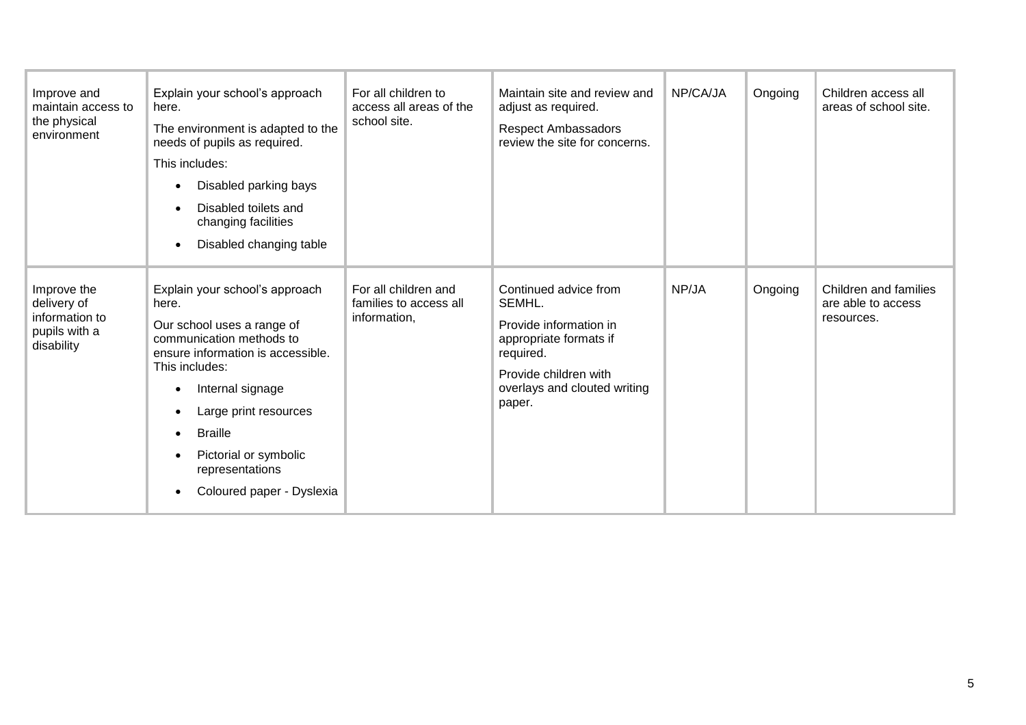| Improve and<br>maintain access to<br>the physical<br>environment            | Explain your school's approach<br>here.<br>The environment is adapted to the<br>needs of pupils as required.<br>This includes:<br>Disabled parking bays<br>Disabled toilets and<br>changing facilities<br>Disabled changing table                                                                | For all children to<br>access all areas of the<br>school site. | Maintain site and review and<br>adjust as required.<br><b>Respect Ambassadors</b><br>review the site for concerns.                                                  | NP/CA/JA | Ongoing | Children access all<br>areas of school site.              |
|-----------------------------------------------------------------------------|--------------------------------------------------------------------------------------------------------------------------------------------------------------------------------------------------------------------------------------------------------------------------------------------------|----------------------------------------------------------------|---------------------------------------------------------------------------------------------------------------------------------------------------------------------|----------|---------|-----------------------------------------------------------|
| Improve the<br>delivery of<br>information to<br>pupils with a<br>disability | Explain your school's approach<br>here.<br>Our school uses a range of<br>communication methods to<br>ensure information is accessible.<br>This includes:<br>Internal signage<br>Large print resources<br><b>Braille</b><br>Pictorial or symbolic<br>representations<br>Coloured paper - Dyslexia | For all children and<br>families to access all<br>information, | Continued advice from<br>SEMHL.<br>Provide information in<br>appropriate formats if<br>required.<br>Provide children with<br>overlays and clouted writing<br>paper. | NP/JA    | Ongoing | Children and families<br>are able to access<br>resources. |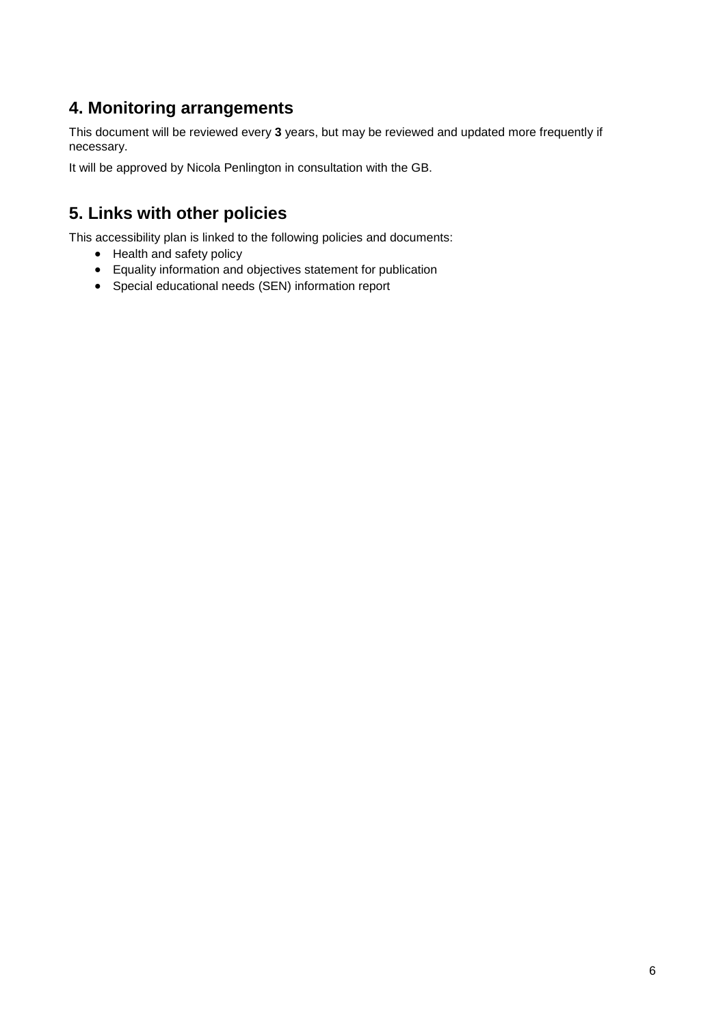#### **4. Monitoring arrangements**

This document will be reviewed every **3** years, but may be reviewed and updated more frequently if necessary.

It will be approved by Nicola Penlington in consultation with the GB.

#### **5. Links with other policies**

This accessibility plan is linked to the following policies and documents:

- Health and safety policy
- Equality information and objectives statement for publication
- Special educational needs (SEN) information report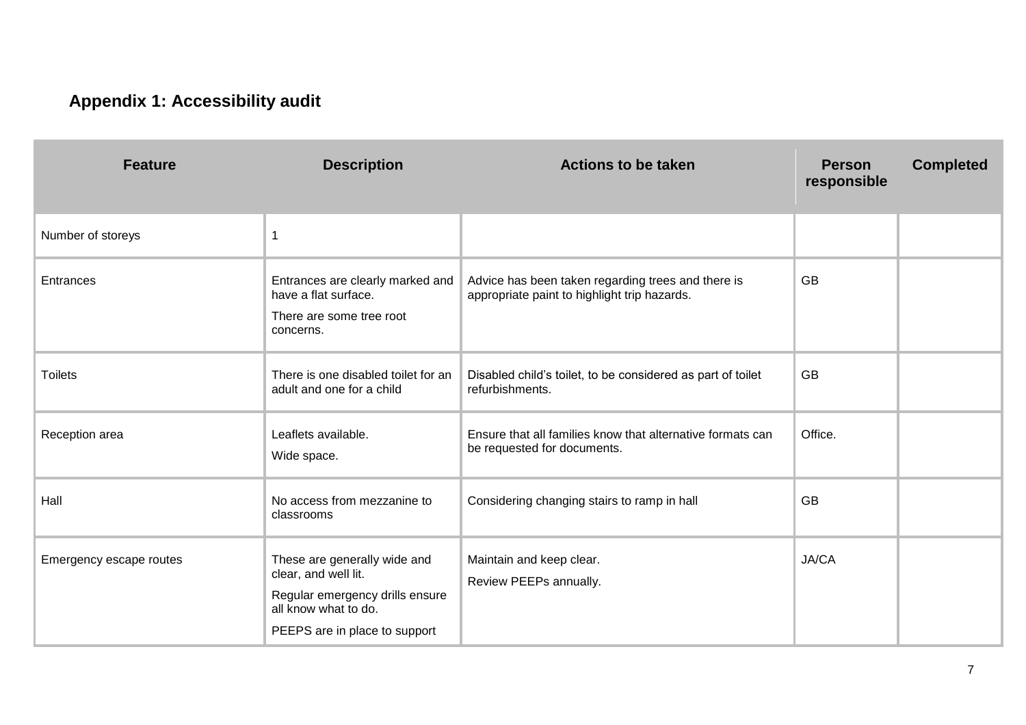## **Appendix 1: Accessibility audit**

| <b>Feature</b>          | <b>Description</b>                                                                                                                               | <b>Actions to be taken</b>                                                                         | <b>Person</b><br>responsible | <b>Completed</b> |
|-------------------------|--------------------------------------------------------------------------------------------------------------------------------------------------|----------------------------------------------------------------------------------------------------|------------------------------|------------------|
| Number of storeys       | $\mathbf{1}$                                                                                                                                     |                                                                                                    |                              |                  |
| Entrances               | Entrances are clearly marked and<br>have a flat surface.<br>There are some tree root<br>concerns.                                                | Advice has been taken regarding trees and there is<br>appropriate paint to highlight trip hazards. | <b>GB</b>                    |                  |
| <b>Toilets</b>          | There is one disabled toilet for an<br>adult and one for a child                                                                                 | Disabled child's toilet, to be considered as part of toilet<br>refurbishments.                     | <b>GB</b>                    |                  |
| Reception area          | Leaflets available.<br>Wide space.                                                                                                               | Ensure that all families know that alternative formats can<br>be requested for documents.          | Office.                      |                  |
| Hall                    | No access from mezzanine to<br>classrooms                                                                                                        | Considering changing stairs to ramp in hall                                                        | <b>GB</b>                    |                  |
| Emergency escape routes | These are generally wide and<br>clear, and well lit.<br>Regular emergency drills ensure<br>all know what to do.<br>PEEPS are in place to support | Maintain and keep clear.<br>Review PEEPs annually.                                                 | JA/CA                        |                  |